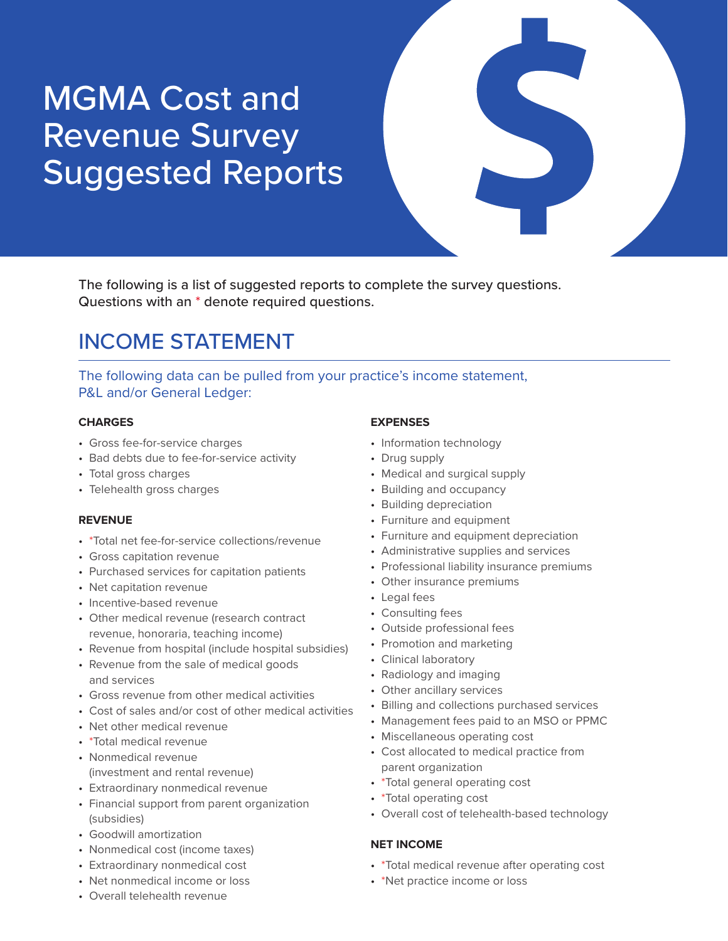# MGMA Cost and Revenue Survey Suggested Reports

The following is a list of suggested reports to complete the survey questions. Questions with an \* denote required questions.

# INCOME STATEMENT

The following data can be pulled from your practice's income statement, P&L and/or General Ledger:

#### **CHARGES**

- Gross fee-for-service charges
- Bad debts due to fee-for-service activity
- Total gross charges
- Telehealth gross charges

### **REVENUE**

- \*Total net fee-for-service collections/revenue
- Gross capitation revenue
- Purchased services for capitation patients
- Net capitation revenue
- Incentive-based revenue
- Other medical revenue (research contract revenue, honoraria, teaching income)
- Revenue from hospital (include hospital subsidies)
- Revenue from the sale of medical goods and services
- Gross revenue from other medical activities
- Cost of sales and/or cost of other medical activities
- Net other medical revenue
- \*Total medical revenue
- Nonmedical revenue (investment and rental revenue)
- Extraordinary nonmedical revenue
- Financial support from parent organization (subsidies)
- Goodwill amortization
- Nonmedical cost (income taxes)
- Extraordinary nonmedical cost
- Net nonmedical income or loss

### • Overall telehealth revenue

### **EXPENSES**

- Information technology
- Drug supply
- Medical and surgical supply
- Building and occupancy
- Building depreciation
- Furniture and equipment
- Furniture and equipment depreciation
- Administrative supplies and services
- Professional liability insurance premiums
- Other insurance premiums
- Legal fees
- Consulting fees
- Outside professional fees
- Promotion and marketing
- Clinical laboratory
- Radiology and imaging
- Other ancillary services
- Billing and collections purchased services
- Management fees paid to an MSO or PPMC
- Miscellaneous operating cost
- Cost allocated to medical practice from parent organization
- \*Total general operating cost
- \*Total operating cost
- Overall cost of telehealth-based technology

### **NET INCOME**

- \*Total medical revenue after operating cost
- \*Net practice income or loss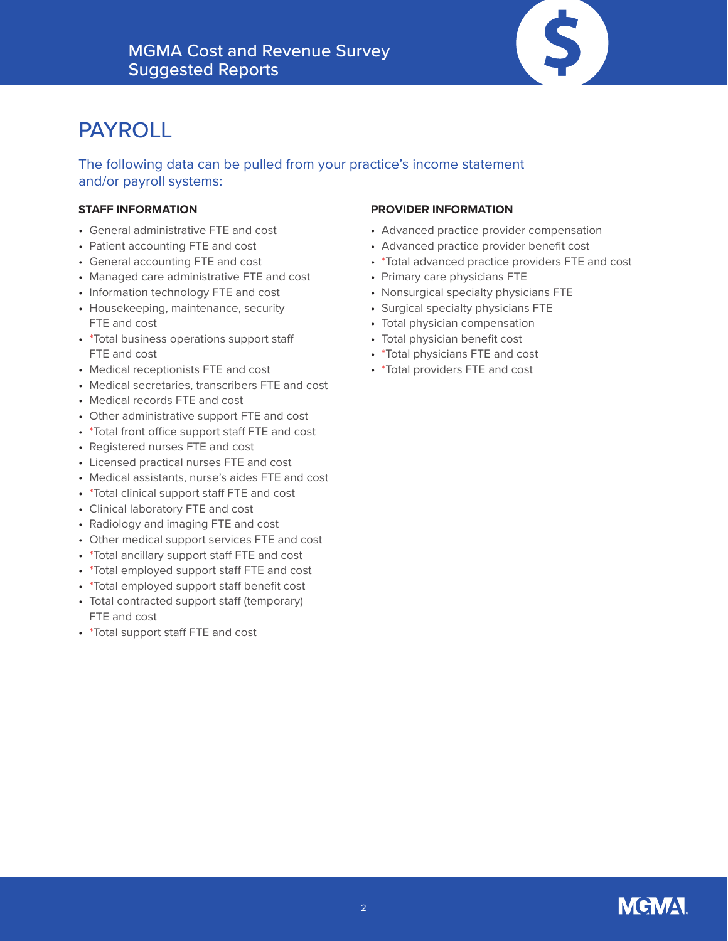

# PAYROLL

The following data can be pulled from your practice's income statement and/or payroll systems:

### **STAFF INFORMATION**

- General administrative FTE and cost
- Patient accounting FTE and cost
- General accounting FTE and cost
- Managed care administrative FTE and cost
- Information technology FTE and cost
- Housekeeping, maintenance, security FTE and cost
- \*Total business operations support staff FTE and cost
- Medical receptionists FTE and cost
- Medical secretaries, transcribers FTE and cost
- Medical records FTE and cost
- Other administrative support FTE and cost
- \*Total front office support staff FTE and cost
- Registered nurses FTE and cost
- Licensed practical nurses FTE and cost
- Medical assistants, nurse's aides FTE and cost
- \*Total clinical support staff FTE and cost
- Clinical laboratory FTE and cost
- Radiology and imaging FTE and cost
- Other medical support services FTE and cost
- \*Total ancillary support staff FTE and cost
- \*Total employed support staff FTE and cost
- \*Total employed support staff benefit cost • Total contracted support staff (temporary)
- FTE and cost
- \*Total support staff FTE and cost

### **PROVIDER INFORMATION**

- Advanced practice provider compensation
- Advanced practice provider benefit cost
- \*Total advanced practice providers FTE and cost
- Primary care physicians FTE
- Nonsurgical specialty physicians FTE
- Surgical specialty physicians FTE
- Total physician compensation
- Total physician benefit cost
- \*Total physicians FTE and cost
- \*Total providers FTE and cost

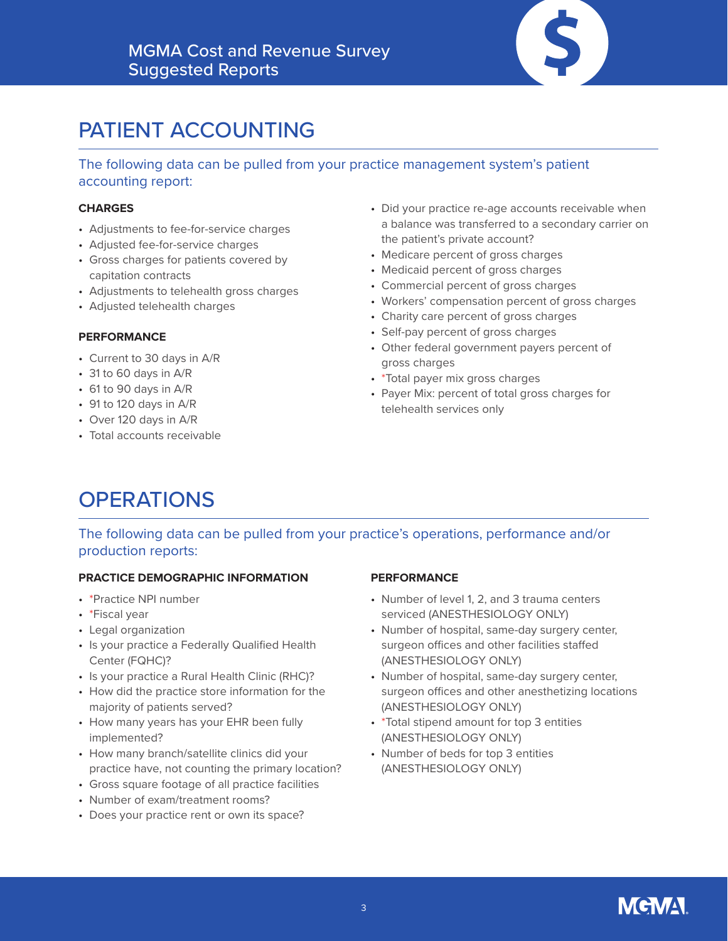

# PATIENT ACCOUNTING

The following data can be pulled from your practice management system's patient accounting report:

#### **CHARGES**

- Adjustments to fee-for-service charges
- Adjusted fee-for-service charges
- Gross charges for patients covered by capitation contracts
- Adjustments to telehealth gross charges
- Adjusted telehealth charges

#### **PERFORMANCE**

- Current to 30 days in A/R
- 31 to 60 days in A/R
- 61 to 90 days in A/R
- 91 to 120 days in A/R
- Over 120 days in A/R
- Total accounts receivable
- Did your practice re-age accounts receivable when a balance was transferred to a secondary carrier on the patient's private account?
- Medicare percent of gross charges
- Medicaid percent of gross charges
- Commercial percent of gross charges
- Workers' compensation percent of gross charges
- Charity care percent of gross charges
- Self-pay percent of gross charges
- Other federal government payers percent of gross charges
- \*Total payer mix gross charges
- Payer Mix: percent of total gross charges for telehealth services only

# **OPERATIONS**

### The following data can be pulled from your practice's operations, performance and/or production reports:

#### **PRACTICE DEMOGRAPHIC INFORMATION**

- \*Practice NPI number
- \*Fiscal year
- Legal organization
- Is your practice a Federally Qualified Health Center (FQHC)?
- Is your practice a Rural Health Clinic (RHC)?
- How did the practice store information for the majority of patients served?
- How many years has your EHR been fully implemented?
- How many branch/satellite clinics did your practice have, not counting the primary location?
- Gross square footage of all practice facilities
- Number of exam/treatment rooms?
- Does your practice rent or own its space?

#### **PERFORMANCE**

- Number of level 1, 2, and 3 trauma centers serviced (ANESTHESIOLOGY ONLY)
- Number of hospital, same-day surgery center, surgeon offices and other facilities staffed (ANESTHESIOLOGY ONLY)
- Number of hospital, same-day surgery center, surgeon offices and other anesthetizing locations (ANESTHESIOLOGY ONLY)
- \*Total stipend amount for top 3 entities (ANESTHESIOLOGY ONLY)
- Number of beds for top 3 entities (ANESTHESIOLOGY ONLY)